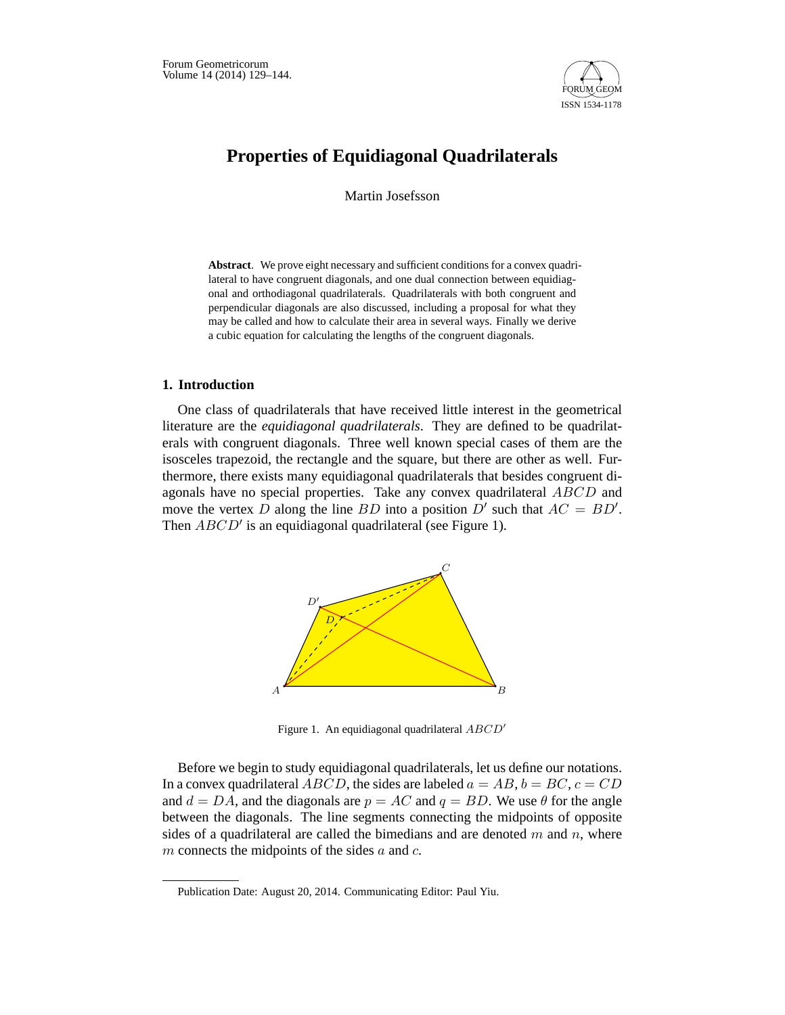

# **Properties of Equidiagonal Quadrilaterals**

Martin Josefsson

**Abstract**. We prove eight necessary and sufficient conditions for a convex quadrilateral to have congruent diagonals, and one dual connection between equidiagonal and orthodiagonal quadrilaterals. Quadrilaterals with both congruent and perpendicular diagonals are also discussed, including a proposal for what they may be called and how to calculate their area in several ways. Finally we derive a cubic equation for calculating the lengths of the congruent diagonals.

## **1. Introduction**

One class of quadrilaterals that have received little interest in the geometrical literature are the *equidiagonal quadrilaterals*. They are defined to be quadrilaterals with congruent diagonals. Three well known special cases of them are the isosceles trapezoid, the rectangle and the square, but there are other as well. Furthermore, there exists many equidiagonal quadrilaterals that besides congruent diagonals have no special properties. Take any convex quadrilateral ABCD and move the vertex D along the line BD into a position  $D'$  such that  $AC = BD'$ . Then  $ABCD'$  is an equidiagonal quadrilateral (see Figure 1).



Figure 1. An equidiagonal quadrilateral *ABCD*-

Before we begin to study equidiagonal quadrilaterals, let us define our notations. In a convex quadrilateral ABCD, the sides are labeled  $a = AB$ ,  $b = BC$ ,  $c = CD$ and  $d = DA$ , and the diagonals are  $p = AC$  and  $q = BD$ . We use  $\theta$  for the angle between the diagonals. The line segments connecting the midpoints of opposite sides of a quadrilateral are called the bimedians and are denoted  $m$  and  $n$ , where  $m$  connects the midpoints of the sides  $a$  and  $c$ .

Publication Date: August 20, 2014. Communicating Editor: Paul Yiu.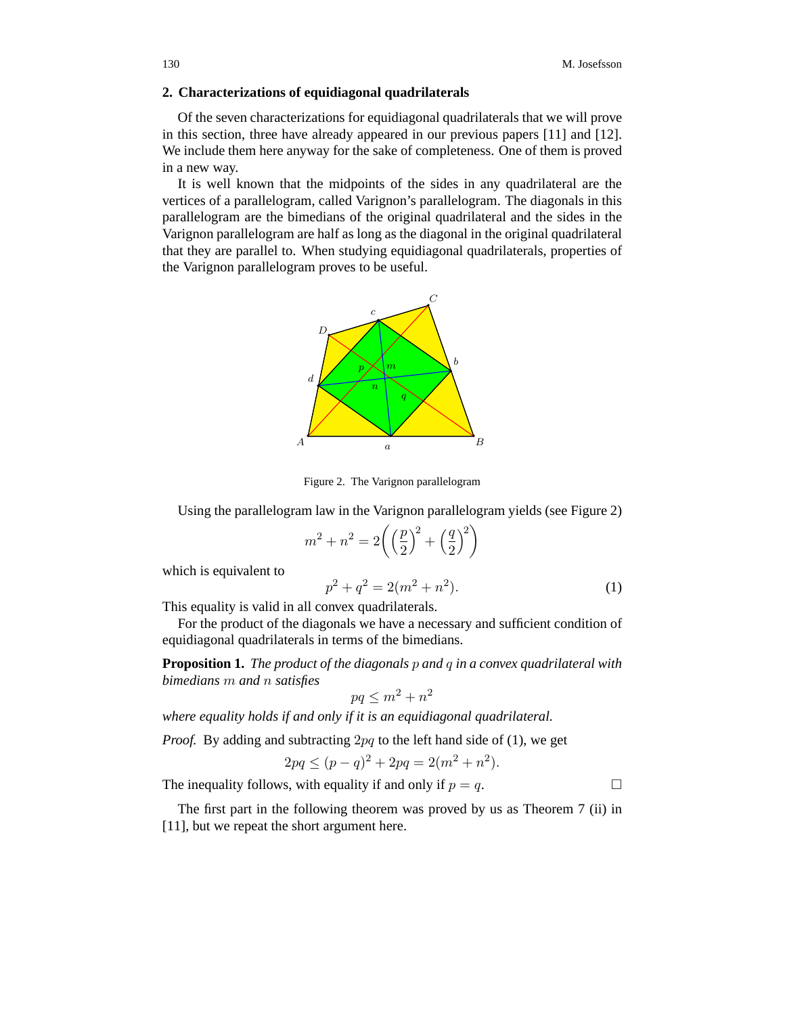# **2. Characterizations of equidiagonal quadrilaterals**

Of the seven characterizations for equidiagonal quadrilaterals that we will prove in this section, three have already appeared in our previous papers [11] and [12]. We include them here anyway for the sake of completeness. One of them is proved in a new way.

It is well known that the midpoints of the sides in any quadrilateral are the vertices of a parallelogram, called Varignon's parallelogram. The diagonals in this parallelogram are the bimedians of the original quadrilateral and the sides in the Varignon parallelogram are half as long as the diagonal in the original quadrilateral that they are parallel to. When studying equidiagonal quadrilaterals, properties of the Varignon parallelogram proves to be useful.



Figure 2. The Varignon parallelogram

Using the parallelogram law in the Varignon parallelogram yields (see Figure 2)

$$
m^{2} + n^{2} = 2\left(\left(\frac{p}{2}\right)^{2} + \left(\frac{q}{2}\right)^{2}\right)
$$

which is equivalent to

$$
p^2 + q^2 = 2(m^2 + n^2). \tag{1}
$$

This equality is valid in all convex quadrilaterals.

For the product of the diagonals we have a necessary and sufficient condition of equidiagonal quadrilaterals in terms of the bimedians.

**Proposition 1.** *The product of the diagonals* p *and* q *in a convex quadrilateral with bimedians* m *and* n *satisfies*

$$
pq \le m^2 + n^2
$$

*where equality holds if and only if it is an equidiagonal quadrilateral.*

*Proof.* By adding and subtracting 2pq to the left hand side of (1), we get

$$
2pq \le (p-q)^2 + 2pq = 2(m^2 + n^2).
$$

The inequality follows, with equality if and only if  $p = q$ .

The first part in the following theorem was proved by us as Theorem 7 (ii) in [11], but we repeat the short argument here.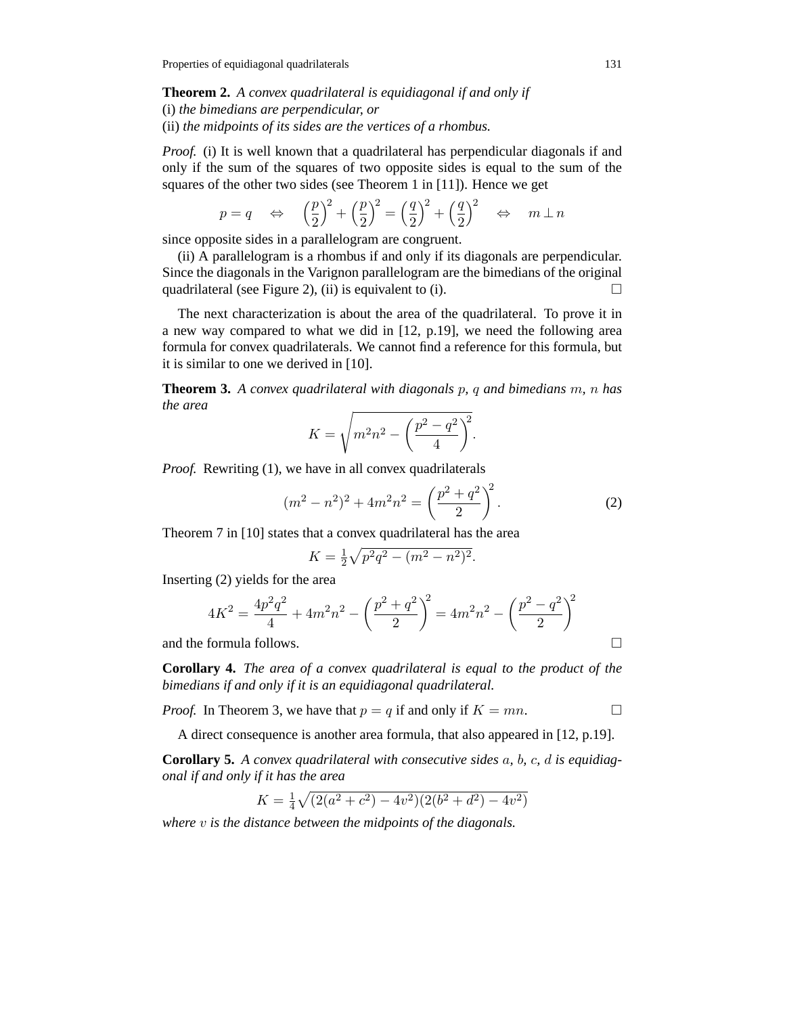**Theorem 2.** *A convex quadrilateral is equidiagonal if and only if* (i) *the bimedians are perpendicular, or* (ii) *the midpoints of its sides are the vertices of a rhombus.*

*Proof.* (i) It is well known that a quadrilateral has perpendicular diagonals if and only if the sum of the squares of two opposite sides is equal to the sum of the squares of the other two sides (see Theorem 1 in [11]). Hence we get

$$
p=q \Leftrightarrow \left(\frac{p}{2}\right)^2 + \left(\frac{p}{2}\right)^2 = \left(\frac{q}{2}\right)^2 + \left(\frac{q}{2}\right)^2 \Leftrightarrow m \perp n
$$

since opposite sides in a parallelogram are congruent.

(ii) A parallelogram is a rhombus if and only if its diagonals are perpendicular. Since the diagonals in the Varignon parallelogram are the bimedians of the original quadrilateral (see Figure 2), (ii) is equivalent to (i).  $\Box$ 

The next characterization is about the area of the quadrilateral. To prove it in a new way compared to what we did in [12, p.19], we need the following area formula for convex quadrilaterals. We cannot find a reference for this formula, but it is similar to one we derived in [10].

**Theorem 3.** *A convex quadrilateral with diagonals* p*,* q *and bimedians* m*,* n *has the area*

$$
K = \sqrt{m^2 n^2 - \left(\frac{p^2 - q^2}{4}\right)^2}.
$$

*Proof.* Rewriting (1), we have in all convex quadrilaterals

$$
(m2 - n2)2 + 4m2n2 = \left(\frac{p2 + q2}{2}\right)2.
$$
 (2)

Theorem 7 in [10] states that a convex quadrilateral has the area

$$
K = \frac{1}{2}\sqrt{p^2q^2 - (m^2 - n^2)^2}.
$$

Inserting (2) yields for the area

$$
4K^{2} = \frac{4p^{2}q^{2}}{4} + 4m^{2}n^{2} - \left(\frac{p^{2} + q^{2}}{2}\right)^{2} = 4m^{2}n^{2} - \left(\frac{p^{2} - q^{2}}{2}\right)^{2}
$$

and the formula follows.

**Corollary 4.** *The area of a convex quadrilateral is equal to the product of the bimedians if and only if it is an equidiagonal quadrilateral.*

*Proof.* In Theorem 3, we have that  $p = q$  if and only if  $K = mn$ .

 $\Box$ 

A direct consequence is another area formula, that also appeared in [12, p.19].

**Corollary 5.** *A convex quadrilateral with consecutive sides* a*,* b*,* c*,* d *is equidiagonal if and only if it has the area*

$$
K = \frac{1}{4}\sqrt{(2(a^2+c^2)-4v^2)(2(b^2+d^2)-4v^2)}
$$

*where* v *is the distance between the midpoints of the diagonals.*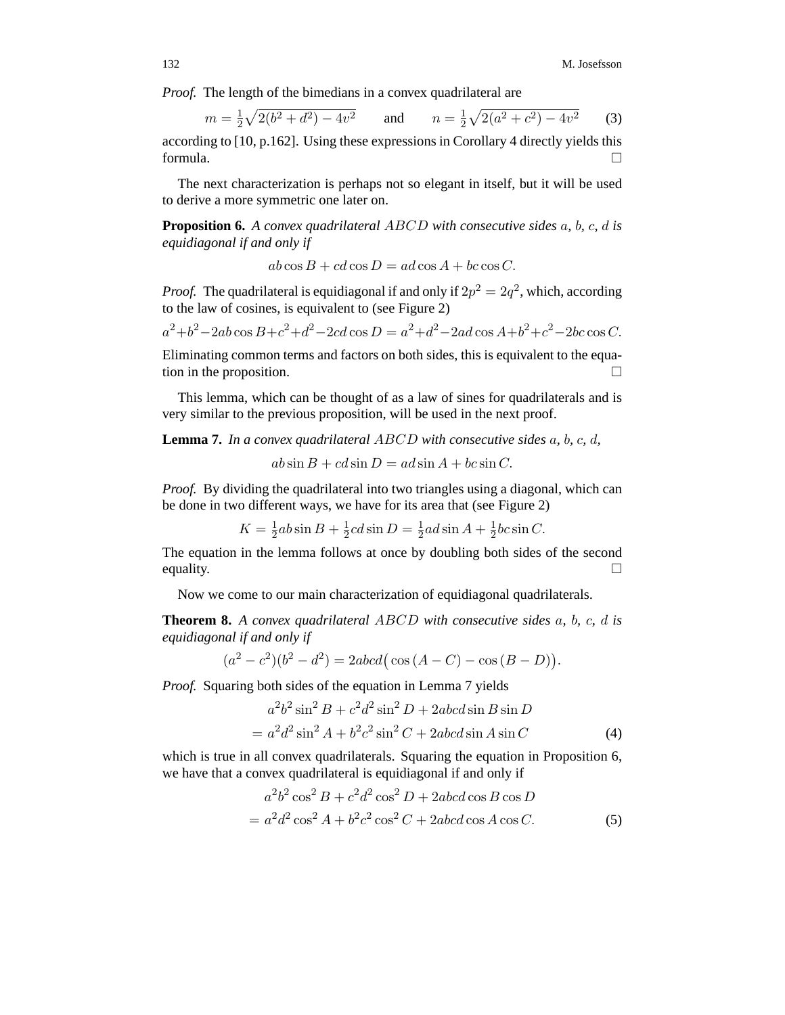*Proof.* The length of the bimedians in a convex quadrilateral are

$$
m = \frac{1}{2}\sqrt{2(b^2 + d^2) - 4v^2} \qquad \text{and} \qquad n = \frac{1}{2}\sqrt{2(a^2 + c^2) - 4v^2} \tag{3}
$$

according to [10, p.162]. Using these expressions in Corollary 4 directly yields this formula.  $\Box$ 

The next characterization is perhaps not so elegant in itself, but it will be used to derive a more symmetric one later on.

**Proposition 6.** *A convex quadrilateral* ABCD *with consecutive sides* a*,* b*,* c*,* d *is equidiagonal if and only if*

 $ab \cos B + cd \cos D = ad \cos A + bc \cos C.$ 

*Proof.* The quadrilateral is equidiagonal if and only if  $2p^2 = 2q^2$ , which, according to the law of cosines, is equivalent to (see Figure 2)

$$
a^2 + b^2 - 2ab\cos B + c^2 + d^2 - 2cd\cos D = a^2 + d^2 - 2ad\cos A + b^2 + c^2 - 2bc\cos C.
$$

Eliminating common terms and factors on both sides, this is equivalent to the equation in the proposition.  $\Box$ 

This lemma, which can be thought of as a law of sines for quadrilaterals and is very similar to the previous proposition, will be used in the next proof.

**Lemma 7.** *In a convex quadrilateral* ABCD *with consecutive sides* a*,* b*,* c*,* d*,*

 $ab \sin B + cd \sin D = ad \sin A + bc \sin C.$ 

*Proof.* By dividing the quadrilateral into two triangles using a diagonal, which can be done in two different ways, we have for its area that (see Figure 2)

$$
K = \frac{1}{2}ab\sin B + \frac{1}{2}cd\sin D = \frac{1}{2}ad\sin A + \frac{1}{2}bc\sin C.
$$

The equation in the lemma follows at once by doubling both sides of the second equality.  $\Box$ 

Now we come to our main characterization of equidiagonal quadrilaterals.

**Theorem 8.** *A convex quadrilateral* ABCD *with consecutive sides* a*,* b*,* c*,* d *is equidiagonal if and only if*

$$
(a2 - c2)(b2 - d2) = 2abcd(\cos(A - C) - \cos(B - D)).
$$

*Proof.* Squaring both sides of the equation in Lemma 7 yields

$$
a2b2 sin2 B + c2d2 sin2 D + 2abcd sin B sin D
$$
  
= 
$$
a2d2 sin2 A + b2c2 sin2 C + 2abcd sin A sin C
$$
 (4)

which is true in all convex quadrilaterals. Squaring the equation in Proposition 6, we have that a convex quadrilateral is equidiagonal if and only if

$$
a^{2}b^{2}\cos^{2} B + c^{2}d^{2}\cos^{2} D + 2abcd\cos B\cos D
$$
  
= 
$$
a^{2}d^{2}\cos^{2} A + b^{2}c^{2}\cos^{2} C + 2abcd\cos A\cos C.
$$
 (5)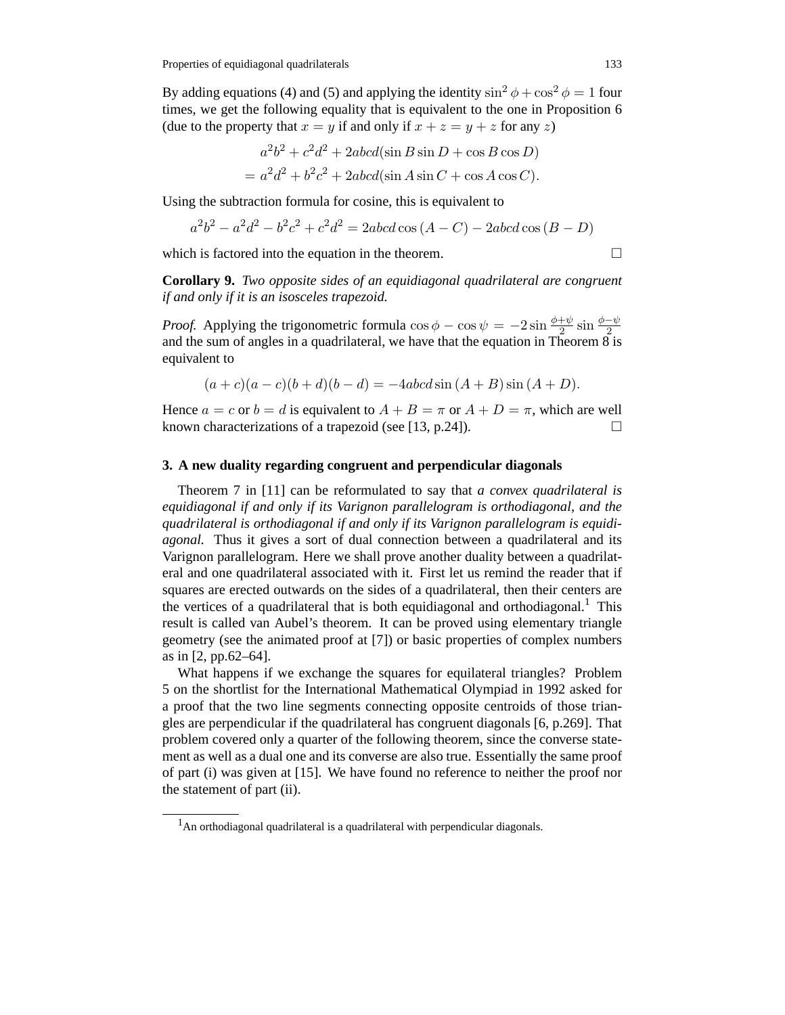By adding equations (4) and (5) and applying the identity  $\sin^2 \phi + \cos^2 \phi = 1$  four times, we get the following equality that is equivalent to the one in Proposition 6 (due to the property that  $x = y$  if and only if  $x + z = y + z$  for any z)

$$
a2b2 + c2d2 + 2abcd(\sin B \sin D + \cos B \cos D)
$$
  
= 
$$
a2d2 + b2c2 + 2abcd(\sin A \sin C + \cos A \cos C).
$$

Using the subtraction formula for cosine, this is equivalent to

$$
a^{2}b^{2} - a^{2}d^{2} - b^{2}c^{2} + c^{2}d^{2} = 2abcd \cos (A - C) - 2abcd \cos (B - D)
$$

which is factored into the equation in the theorem.

 $\Box$ 

**Corollary 9.** *Two opposite sides of an equidiagonal quadrilateral are congruent if and only if it is an isosceles trapezoid.*

*Proof.* Applying the trigonometric formula  $\cos \phi - \cos \psi = -2 \sin \frac{\phi + \psi}{2} \sin \frac{\phi - \psi}{2}$  and the sum of angles in a quadrilateral, we have that the equation in Theorem 8 is equivalent to

$$
(a + c)(a - c)(b + d)(b - d) = -4abcd\sin(A + B)\sin(A + D).
$$

Hence  $a = c$  or  $b = d$  is equivalent to  $A + B = \pi$  or  $A + D = \pi$ , which are well known characterizations of a trapezoid (see [13, p.24]).  $\Box$ 

#### **3. A new duality regarding congruent and perpendicular diagonals**

Theorem 7 in [11] can be reformulated to say that *a convex quadrilateral is equidiagonal if and only if its Varignon parallelogram is orthodiagonal, and the quadrilateral is orthodiagonal if and only if its Varignon parallelogram is equidiagonal.* Thus it gives a sort of dual connection between a quadrilateral and its Varignon parallelogram. Here we shall prove another duality between a quadrilateral and one quadrilateral associated with it. First let us remind the reader that if squares are erected outwards on the sides of a quadrilateral, then their centers are the vertices of a quadrilateral that is both equidiagonal and orthodiagonal.<sup>1</sup> This result is called van Aubel's theorem. It can be proved using elementary triangle geometry (see the animated proof at [7]) or basic properties of complex numbers as in [2, pp.62–64].

What happens if we exchange the squares for equilateral triangles? Problem 5 on the shortlist for the International Mathematical Olympiad in 1992 asked for a proof that the two line segments connecting opposite centroids of those triangles are perpendicular if the quadrilateral has congruent diagonals [6, p.269]. That problem covered only a quarter of the following theorem, since the converse statement as well as a dual one and its converse are also true. Essentially the same proof of part (i) was given at [15]. We have found no reference to neither the proof nor the statement of part (ii).

 $<sup>1</sup>$ An orthodiagonal quadrilateral is a quadrilateral with perpendicular diagonals.</sup>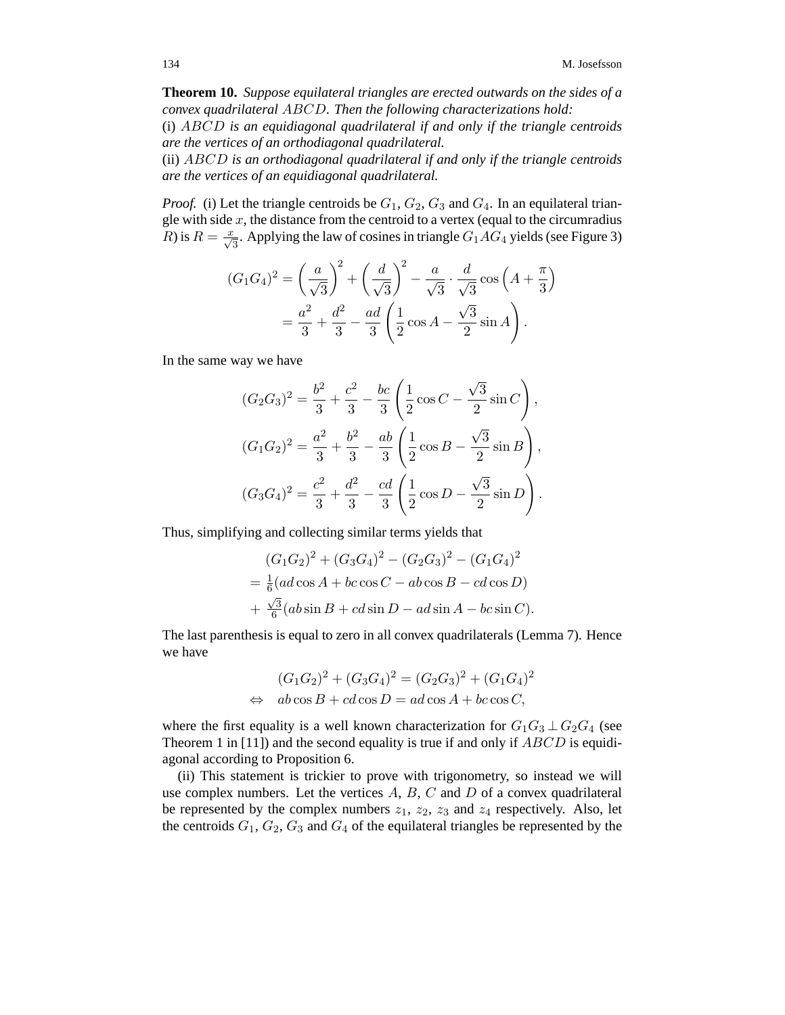**Theorem 10.** *Suppose equilateral triangles are erected outwards on the sides of a convex quadrilateral* ABCD*. Then the following characterizations hold:*

(i) ABCD *is an equidiagonal quadrilateral if and only if the triangle centroids are the vertices of an orthodiagonal quadrilateral.*

(ii) ABCD *is an orthodiagonal quadrilateral if and only if the triangle centroids are the vertices of an equidiagonal quadrilateral.*

*Proof.* (i) Let the triangle centroids be  $G_1$ ,  $G_2$ ,  $G_3$  and  $G_4$ . In an equilateral triangle with side  $x$ , the distance from the centroid to a vertex (equal to the circumradius  $R$ ) is  $R = \frac{x}{\sqrt{3}}$ . Applying the law of cosines in triangle  $G_1 A G_4$  yields (see Figure 3)

$$
(G_1 G_4)^2 = \left(\frac{a}{\sqrt{3}}\right)^2 + \left(\frac{d}{\sqrt{3}}\right)^2 - \frac{a}{\sqrt{3}} \cdot \frac{d}{\sqrt{3}} \cos\left(A + \frac{\pi}{3}\right)
$$
  
=  $\frac{a^2}{3} + \frac{d^2}{3} - \frac{ad}{3} \left(\frac{1}{2} \cos A - \frac{\sqrt{3}}{2} \sin A\right).$ 

In the same way we have

$$
(G_2 G_3)^2 = \frac{b^2}{3} + \frac{c^2}{3} - \frac{bc}{3} \left( \frac{1}{2} \cos C - \frac{\sqrt{3}}{2} \sin C \right),
$$
  

$$
(G_1 G_2)^2 = \frac{a^2}{3} + \frac{b^2}{3} - \frac{ab}{3} \left( \frac{1}{2} \cos B - \frac{\sqrt{3}}{2} \sin B \right),
$$
  

$$
(G_3 G_4)^2 = \frac{c^2}{3} + \frac{d^2}{3} - \frac{cd}{3} \left( \frac{1}{2} \cos D - \frac{\sqrt{3}}{2} \sin D \right).
$$

Thus, simplifying and collecting similar terms yields that

$$
(G_1G_2)^2 + (G_3G_4)^2 - (G_2G_3)^2 - (G_1G_4)^2
$$
  
=  $\frac{1}{6}$  (ad cos A + bc cos C - ab cos B - cd cos D)  
+  $\frac{\sqrt{3}}{6}$  (ab sin B + cd sin D - ad sin A - bc sin C).

The last parenthesis is equal to zero in all convex quadrilaterals (Lemma 7). Hence we have

$$
(G_1G_2)^2 + (G_3G_4)^2 = (G_2G_3)^2 + (G_1G_4)^2
$$
  
\n
$$
\Leftrightarrow \quad ab\cos B + cd\cos D = ad\cos A + bc\cos C,
$$

where the first equality is a well known characterization for  $G_1G_3 \perp G_2G_4$  (see Theorem 1 in [11]) and the second equality is true if and only if  $ABCD$  is equidiagonal according to Proposition 6.

(ii) This statement is trickier to prove with trigonometry, so instead we will use complex numbers. Let the vertices  $A, B, C$  and  $D$  of a convex quadrilateral be represented by the complex numbers  $z_1$ ,  $z_2$ ,  $z_3$  and  $z_4$  respectively. Also, let the centroids  $G_1, G_2, G_3$  and  $G_4$  of the equilateral triangles be represented by the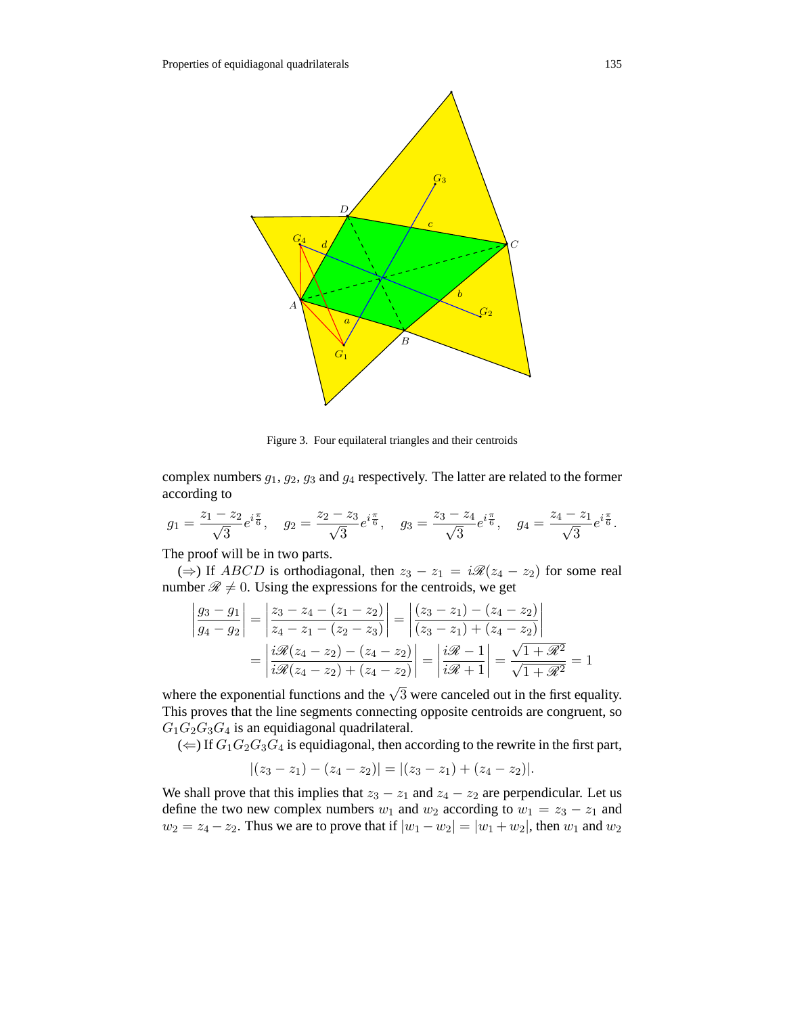

Figure 3. Four equilateral triangles and their centroids

complex numbers  $g_1, g_2, g_3$  and  $g_4$  respectively. The latter are related to the former according to

$$
g_1 = \frac{z_1 - z_2}{\sqrt{3}} e^{i\frac{\pi}{6}}, \quad g_2 = \frac{z_2 - z_3}{\sqrt{3}} e^{i\frac{\pi}{6}}, \quad g_3 = \frac{z_3 - z_4}{\sqrt{3}} e^{i\frac{\pi}{6}}, \quad g_4 = \frac{z_4 - z_1}{\sqrt{3}} e^{i\frac{\pi}{6}}.
$$

The proof will be in two parts.

(⇒) If *ABCD* is orthodiagonal, then  $z_3 - z_1 = i\mathcal{R}(z_4 - z_2)$  for some real number  $\mathcal{R} \neq 0$ . Using the expressions for the centroids, we get

$$
\begin{aligned} \left| \frac{g_3 - g_1}{g_4 - g_2} \right| &= \left| \frac{z_3 - z_4 - (z_1 - z_2)}{z_4 - z_1 - (z_2 - z_3)} \right| = \left| \frac{(z_3 - z_1) - (z_4 - z_2)}{(z_3 - z_1) + (z_4 - z_2)} \right| \\ &= \left| \frac{i\mathcal{R}(z_4 - z_2) - (z_4 - z_2)}{i\mathcal{R}(z_4 - z_2) + (z_4 - z_2)} \right| = \left| \frac{i\mathcal{R} - 1}{i\mathcal{R} + 1} \right| = \frac{\sqrt{1 + \mathcal{R}^2}}{\sqrt{1 + \mathcal{R}^2}} = 1 \end{aligned}
$$

where the exponential functions and the  $\sqrt{3}$  were canceled out in the first equality. This proves that the line segments connecting opposite centroids are congruent, so  $G_1G_2G_3G_4$  is an equidiagonal quadrilateral.

 $(\Leftarrow)$  If  $G_1G_2G_3G_4$  is equidiagonal, then according to the rewrite in the first part,

$$
|(z_3-z_1)-(z_4-z_2)|=|(z_3-z_1)+(z_4-z_2)|.
$$

We shall prove that this implies that  $z_3 - z_1$  and  $z_4 - z_2$  are perpendicular. Let us define the two new complex numbers  $w_1$  and  $w_2$  according to  $w_1 = z_3 - z_1$  and  $w_2 = z_4 - z_2$ . Thus we are to prove that if  $|w_1 - w_2| = |w_1 + w_2|$ , then  $w_1$  and  $w_2$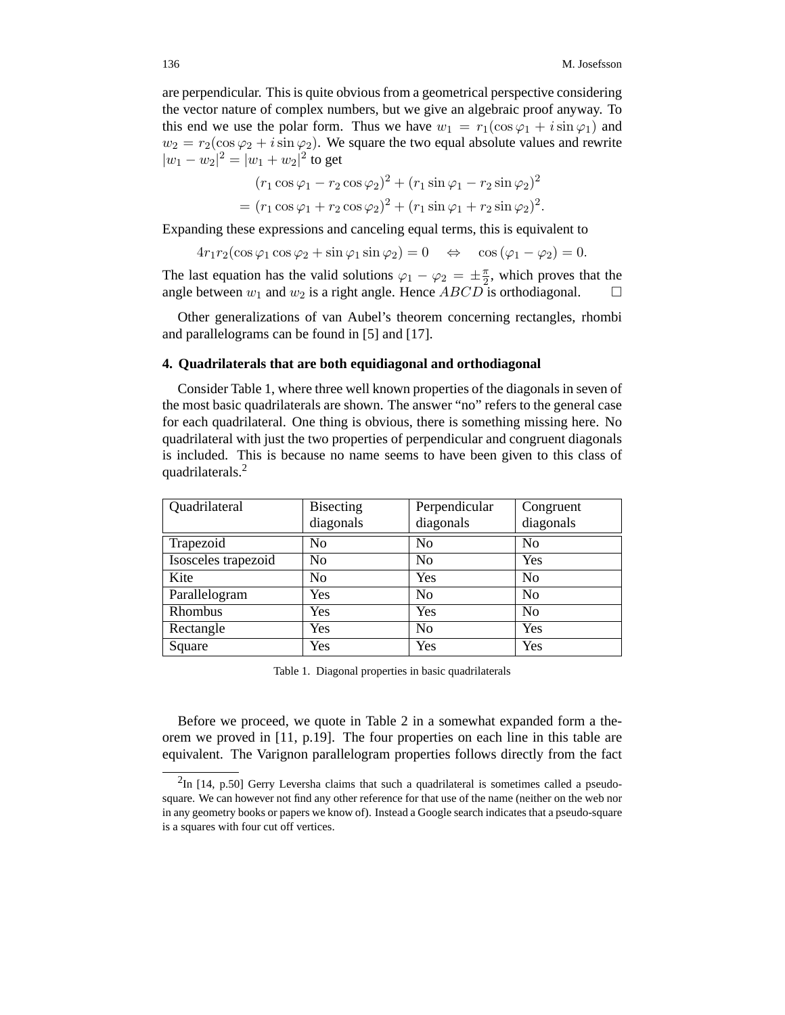are perpendicular. This is quite obvious from a geometrical perspective considering the vector nature of complex numbers, but we give an algebraic proof anyway. To this end we use the polar form. Thus we have  $w_1 = r_1(\cos \varphi_1 + i \sin \varphi_1)$  and  $w_2 = r_2(\cos\varphi_2 + i\sin\varphi_2)$ . We square the two equal absolute values and rewrite  $|w_1 - w_2|^2 = |w_1 + w_2|^2$  to get

$$
(r_1 \cos \varphi_1 - r_2 \cos \varphi_2)^2 + (r_1 \sin \varphi_1 - r_2 \sin \varphi_2)^2
$$
  
= 
$$
(r_1 \cos \varphi_1 + r_2 \cos \varphi_2)^2 + (r_1 \sin \varphi_1 + r_2 \sin \varphi_2)^2.
$$

Expanding these expressions and canceling equal terms, this is equivalent to

 $4r_1r_2(\cos\varphi_1\cos\varphi_2+\sin\varphi_1\sin\varphi_2)=0 \Leftrightarrow \cos(\varphi_1-\varphi_2)=0.$ 

The last equation has the valid solutions  $\varphi_1 - \varphi_2 = \pm \frac{\pi}{2}$ , which proves that the angle between  $w_1$  and  $w_2$  is a right angle. Hence  $ABCD$  is orthodiagonal.  $\Box$ 

Other generalizations of van Aubel's theorem concerning rectangles, rhombi and parallelograms can be found in [5] and [17].

### **4. Quadrilaterals that are both equidiagonal and orthodiagonal**

Consider Table 1, where three well known properties of the diagonals in seven of the most basic quadrilaterals are shown. The answer "no" refers to the general case for each quadrilateral. One thing is obvious, there is something missing here. No quadrilateral with just the two properties of perpendicular and congruent diagonals is included. This is because no name seems to have been given to this class of quadrilaterals.<sup>2</sup>

| Quadrilateral       | <b>Bisecting</b> | Perpendicular  | Congruent      |
|---------------------|------------------|----------------|----------------|
|                     | diagonals        | diagonals      | diagonals      |
| Trapezoid           | No               | N <sub>o</sub> | No             |
| Isosceles trapezoid | N <sub>o</sub>   | N <sub>0</sub> | Yes            |
| Kite                | N <sub>o</sub>   | Yes            | No             |
| Parallelogram       | Yes              | N <sub>o</sub> | N <sub>o</sub> |
| Rhombus             | Yes              | Yes            | No             |
| Rectangle           | Yes              | N <sub>0</sub> | Yes            |
| Square              | Yes              | Yes            | Yes            |

Table 1. Diagonal properties in basic quadrilaterals

Before we proceed, we quote in Table 2 in a somewhat expanded form a theorem we proved in [11, p.19]. The four properties on each line in this table are equivalent. The Varignon parallelogram properties follows directly from the fact

 ${}^{2}$ In [14, p.50] Gerry Leversha claims that such a quadrilateral is sometimes called a pseudosquare. We can however not find any other reference for that use of the name (neither on the web nor in any geometry books or papers we know of). Instead a Google search indicates that a pseudo-square is a squares with four cut off vertices.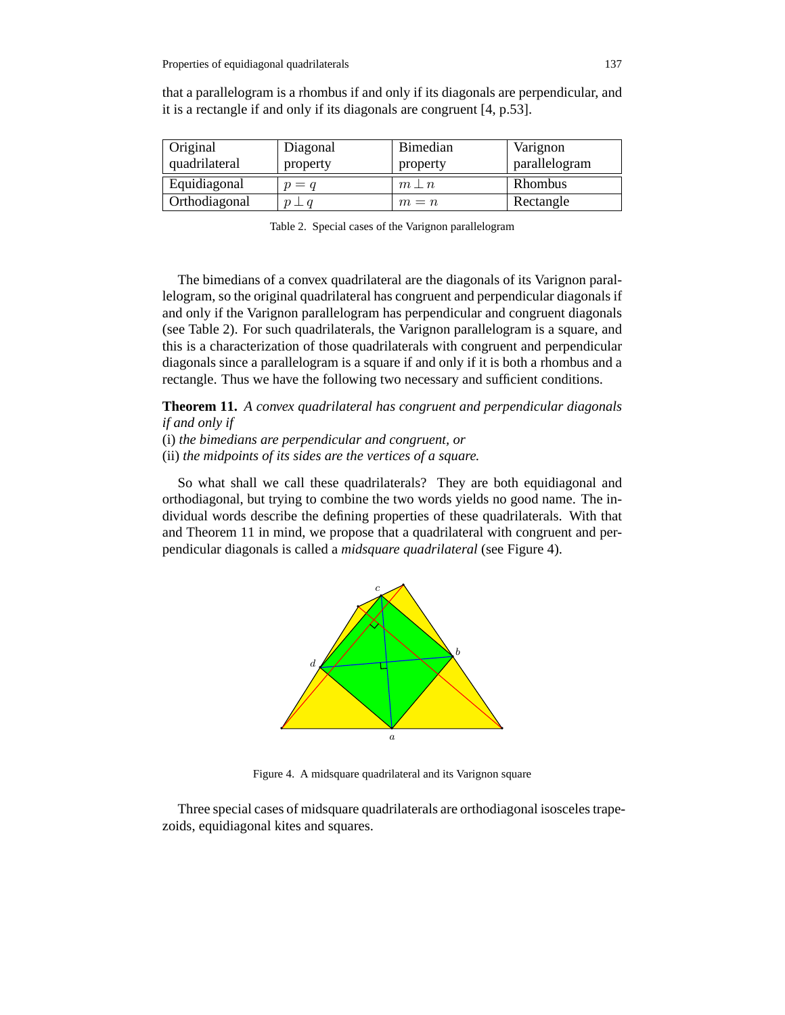| Original      | Diagonal    | <b>Bimedian</b> | Varignon      |
|---------------|-------------|-----------------|---------------|
| quadrilateral | property    | property        | parallelogram |
| Equidiagonal  | $p = q$     | $m\perp n$      | Rhombus       |
| Orthodiagonal | $p \perp q$ | $m = n$         | Rectangle     |

that a parallelogram is a rhombus if and only if its diagonals are perpendicular, and it is a rectangle if and only if its diagonals are congruent [4, p.53].

Table 2. Special cases of the Varignon parallelogram

The bimedians of a convex quadrilateral are the diagonals of its Varignon parallelogram, so the original quadrilateral has congruent and perpendicular diagonals if and only if the Varignon parallelogram has perpendicular and congruent diagonals (see Table 2). For such quadrilaterals, the Varignon parallelogram is a square, and this is a characterization of those quadrilaterals with congruent and perpendicular diagonals since a parallelogram is a square if and only if it is both a rhombus and a rectangle. Thus we have the following two necessary and sufficient conditions.

**Theorem 11.** *A convex quadrilateral has congruent and perpendicular diagonals if and only if*

(i) *the bimedians are perpendicular and congruent, or*

(ii) *the midpoints of its sides are the vertices of a square.*

So what shall we call these quadrilaterals? They are both equidiagonal and orthodiagonal, but trying to combine the two words yields no good name. The individual words describe the defining properties of these quadrilaterals. With that and Theorem 11 in mind, we propose that a quadrilateral with congruent and perpendicular diagonals is called a *midsquare quadrilateral* (see Figure 4).



Figure 4. A midsquare quadrilateral and its Varignon square

Three special cases of midsquare quadrilaterals are orthodiagonal isosceles trapezoids, equidiagonal kites and squares.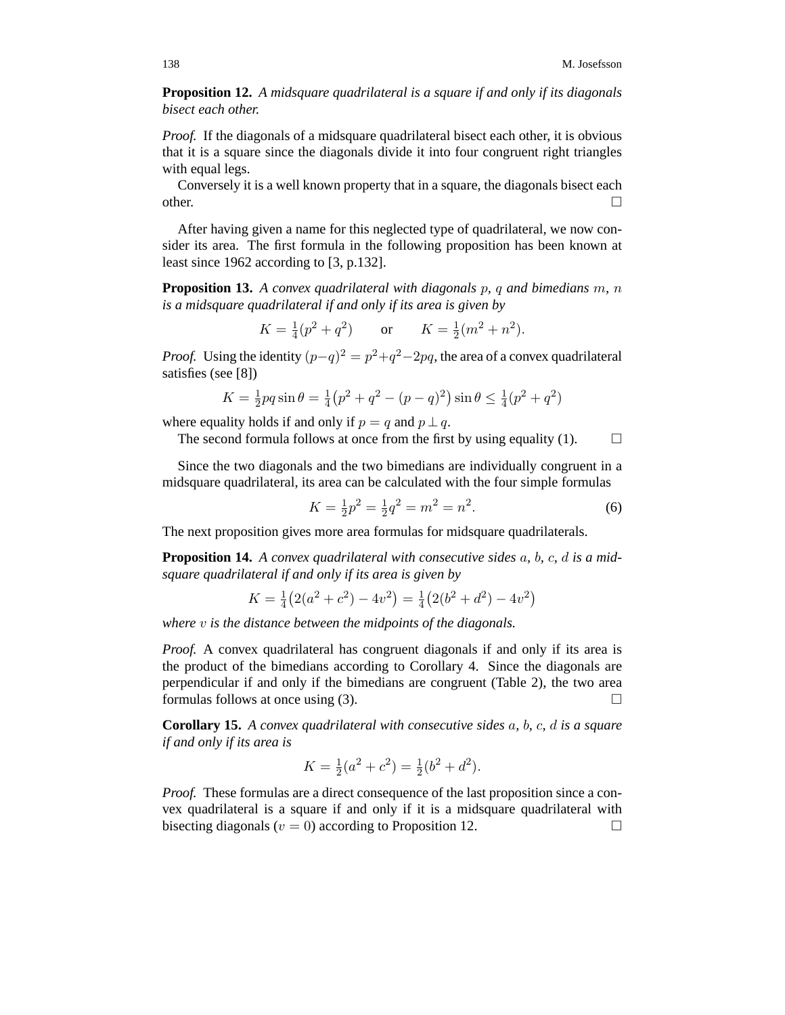**Proposition 12.** *A midsquare quadrilateral is a square if and only if its diagonals bisect each other.*

*Proof.* If the diagonals of a midsquare quadrilateral bisect each other, it is obvious that it is a square since the diagonals divide it into four congruent right triangles with equal legs.

Conversely it is a well known property that in a square, the diagonals bisect each other.  $\Box$ 

After having given a name for this neglected type of quadrilateral, we now consider its area. The first formula in the following proposition has been known at least since 1962 according to [3, p.132].

**Proposition 13.** *A convex quadrilateral with diagonals* p*,* q *and bimedians* m*,* n *is a midsquare quadrilateral if and only if its area is given by*

$$
K = \frac{1}{4}(p^2 + q^2)
$$
 or  $K = \frac{1}{2}(m^2 + n^2)$ .

*Proof.* Using the identity  $(p-q)^2 = p^2 + q^2 - 2pq$ , the area of a convex quadrilateral satisfies (see [8])

$$
K = \frac{1}{2}pq\sin\theta = \frac{1}{4}(p^2 + q^2 - (p - q)^2)\sin\theta \le \frac{1}{4}(p^2 + q^2)
$$

where equality holds if and only if  $p = q$  and  $p \perp q$ .

The second formula follows at once from the first by using equality (1).  $\Box$ 

Since the two diagonals and the two bimedians are individually congruent in a midsquare quadrilateral, its area can be calculated with the four simple formulas

$$
K = \frac{1}{2}p^2 = \frac{1}{2}q^2 = m^2 = n^2.
$$
 (6)

The next proposition gives more area formulas for midsquare quadrilaterals.

**Proposition 14.** *A convex quadrilateral with consecutive sides* a*,* b*,* c*,* d *is a midsquare quadrilateral if and only if its area is given by*

$$
K = \frac{1}{4}(2(a^2 + c^2) - 4v^2) = \frac{1}{4}(2(b^2 + d^2) - 4v^2)
$$

*where* v *is the distance between the midpoints of the diagonals.*

*Proof.* A convex quadrilateral has congruent diagonals if and only if its area is the product of the bimedians according to Corollary 4. Since the diagonals are perpendicular if and only if the bimedians are congruent (Table 2), the two area formulas follows at once using (3).  $\Box$ 

**Corollary 15.** *A convex quadrilateral with consecutive sides* a*,* b*,* c*,* d *is a square if and only if its area is*

$$
K = \frac{1}{2}(a^2 + c^2) = \frac{1}{2}(b^2 + d^2).
$$

*Proof.* These formulas are a direct consequence of the last proposition since a convex quadrilateral is a square if and only if it is a midsquare quadrilateral with bisecting diagonals ( $v = 0$ ) according to Proposition 12.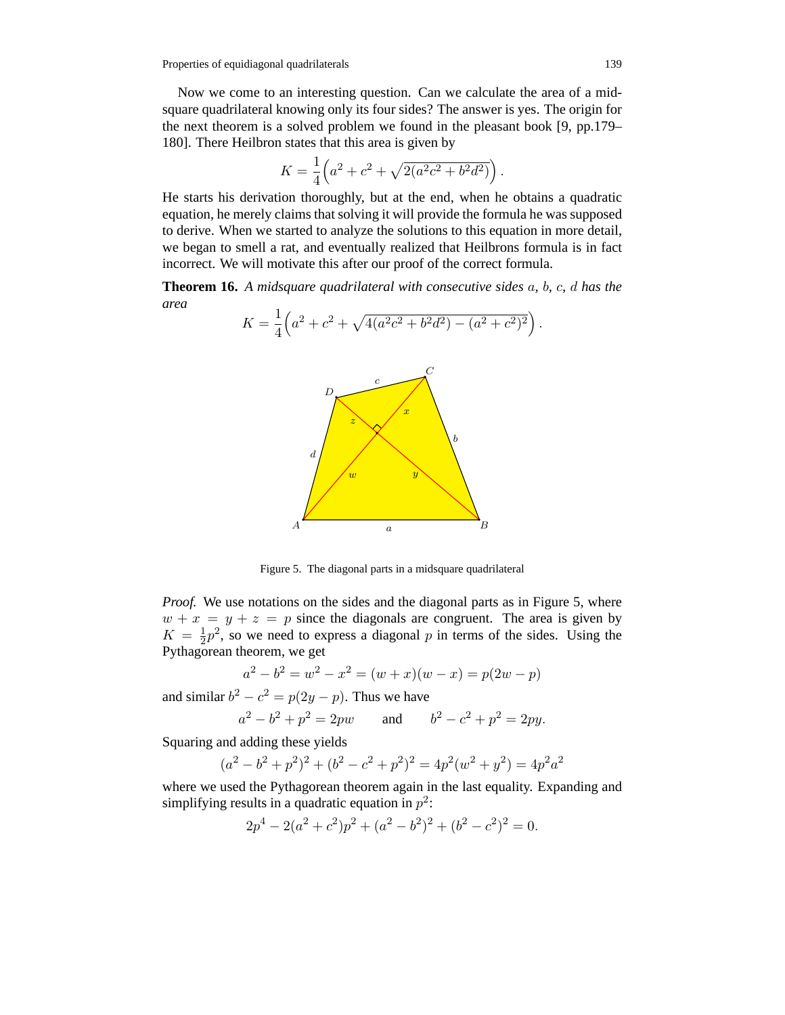Now we come to an interesting question. Can we calculate the area of a midsquare quadrilateral knowing only its four sides? The answer is yes. The origin for the next theorem is a solved problem we found in the pleasant book [9, pp.179– 180]. There Heilbron states that this area is given by

$$
K = \frac{1}{4} \left( a^2 + c^2 + \sqrt{2(a^2c^2 + b^2d^2)} \right).
$$

He starts his derivation thoroughly, but at the end, when he obtains a quadratic equation, he merely claims that solving it will provide the formula he was supposed to derive. When we started to analyze the solutions to this equation in more detail, we began to smell a rat, and eventually realized that Heilbrons formula is in fact incorrect. We will motivate this after our proof of the correct formula.

**Theorem 16.** *A midsquare quadrilateral with consecutive sides* a*,* b*,* c*,* d *has the area*

$$
K = \frac{1}{4} \left( a^2 + c^2 + \sqrt{4(a^2c^2 + b^2d^2) - (a^2 + c^2)^2} \right).
$$



Figure 5. The diagonal parts in a midsquare quadrilateral

*Proof.* We use notations on the sides and the diagonal parts as in Figure 5, where  $w + x = y + z = p$  since the diagonals are congruent. The area is given by  $K = \frac{1}{2}p^2$ , so we need to express a diagonal p in terms of the sides. Using the Pythagorean theorem, we get

$$
a2 - b2 = w2 - x2 = (w + x)(w - x) = p(2w - p)
$$

and similar  $b^2 - c^2 = p(2y - p)$ . Thus we have

$$
a^2 - b^2 + p^2 = 2pw
$$
 and  $b^2 - c^2 + p^2 = 2py$ .

Squaring and adding these yields

$$
(a2 - b2 + p2)2 + (b2 - c2 + p2)2 = 4p2(w2 + y2) = 4p2a2
$$

where we used the Pythagorean theorem again in the last equality. Expanding and simplifying results in a quadratic equation in  $p^2$ :

$$
2p4 - 2(a2 + c2)p2 + (a2 – b2)2 + (b2 – c2)2 = 0.
$$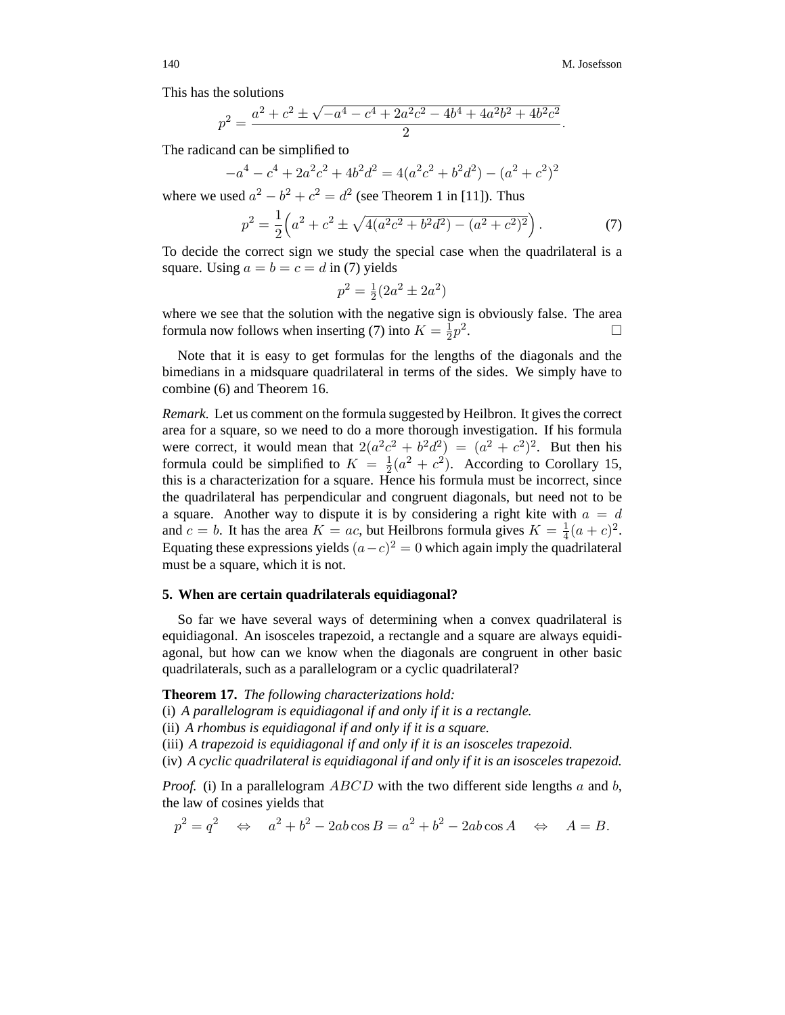This has the solutions

$$
p^2 = \frac{a^2 + c^2 \pm \sqrt{-a^4 - c^4 + 2a^2c^2 - 4b^4 + 4a^2b^2 + 4b^2c^2}}{2}.
$$

The radicand can be simplified to

$$
-a^4 - c^4 + 2a^2c^2 + 4b^2d^2 = 4(a^2c^2 + b^2d^2) - (a^2 + c^2)^2
$$

where we used  $a^2 - b^2 + c^2 = d^2$  (see Theorem 1 in [11]). Thus

$$
p^2 = \frac{1}{2} \left( a^2 + c^2 \pm \sqrt{4(a^2c^2 + b^2d^2) - (a^2 + c^2)^2} \right). \tag{7}
$$

To decide the correct sign we study the special case when the quadrilateral is a square. Using  $a = b = c = d$  in (7) yields

$$
p^2 = \frac{1}{2}(2a^2 \pm 2a^2)
$$

where we see that the solution with the negative sign is obviously false. The area formula now follows when inserting (7) into  $K = \frac{1}{2}p^2$ .  $\Box$ 

Note that it is easy to get formulas for the lengths of the diagonals and the bimedians in a midsquare quadrilateral in terms of the sides. We simply have to combine (6) and Theorem 16.

*Remark.* Let us comment on the formula suggested by Heilbron. It gives the correct area for a square, so we need to do a more thorough investigation. If his formula were correct, it would mean that  $2(a^2c^2 + b^2d^2) = (a^2 + c^2)^2$ . But then his formula could be simplified to  $K = \frac{1}{2}(a^2 + c^2)$ . According to Corollary 15, this is a characterization for a square. Hence his formula must be incorrect, since the quadrilateral has perpendicular and congruent diagonals, but need not to be a square. Another way to dispute it is by considering a right kite with  $a = d$ and  $c = b$ . It has the area  $K = ac$ , but Heilbrons formula gives  $K = \frac{1}{4}(a + c)^2$ . Equating these expressions yields  $(a-c)^2 = 0$  which again imply the quadrilateral must be a square, which it is not.

#### **5. When are certain quadrilaterals equidiagonal?**

So far we have several ways of determining when a convex quadrilateral is equidiagonal. An isosceles trapezoid, a rectangle and a square are always equidiagonal, but how can we know when the diagonals are congruent in other basic quadrilaterals, such as a parallelogram or a cyclic quadrilateral?

**Theorem 17.** *The following characterizations hold:*

- (i) *A parallelogram is equidiagonal if and only if it is a rectangle.*
- (ii) *A rhombus is equidiagonal if and only if it is a square.*
- (iii) *A trapezoid is equidiagonal if and only if it is an isosceles trapezoid.*
- (iv) *A cyclic quadrilateral is equidiagonal if and only if it is an isosceles trapezoid.*

*Proof.* (i) In a parallelogram  $ABCD$  with the two different side lengths a and b, the law of cosines yields that

$$
p^2 = q^2 \quad \Leftrightarrow \quad a^2 + b^2 - 2ab\cos B = a^2 + b^2 - 2ab\cos A \quad \Leftrightarrow \quad A = B.
$$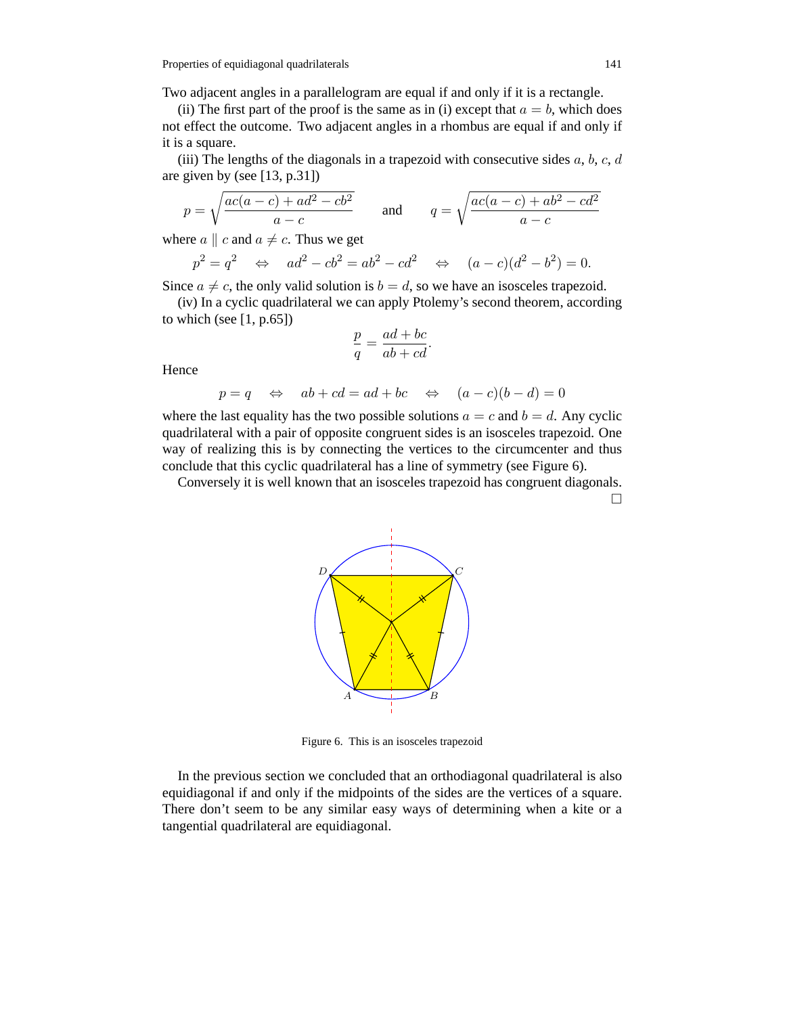Properties of equidiagonal quadrilaterals 141

Two adjacent angles in a parallelogram are equal if and only if it is a rectangle.

(ii) The first part of the proof is the same as in (i) except that  $a = b$ , which does not effect the outcome. Two adjacent angles in a rhombus are equal if and only if it is a square.

(iii) The lengths of the diagonals in a trapezoid with consecutive sides  $a, b, c, d$ are given by (see [13, p.31])

$$
p = \sqrt{\frac{ac(a-c) + ad^2 - cb^2}{a-c}} \qquad \text{and} \qquad q = \sqrt{\frac{ac(a-c) + ab^2 - cd^2}{a-c}}
$$

where  $a \parallel c$  and  $a \neq c$ . Thus we get

$$
p^2 = q^2
$$
  $\Leftrightarrow$   $ad^2 - cb^2 = ab^2 - cd^2$   $\Leftrightarrow$   $(a - c)(d^2 - b^2) = 0.$ 

Since  $a \neq c$ , the only valid solution is  $b = d$ , so we have an isosceles trapezoid.

(iv) In a cyclic quadrilateral we can apply Ptolemy's second theorem, according to which (see  $[1, p.65]$ )

$$
\frac{p}{q} = \frac{ad + bc}{ab + cd}.
$$

**Hence** 

$$
p = q \quad \Leftrightarrow \quad ab + cd = ad + bc \quad \Leftrightarrow \quad (a - c)(b - d) = 0
$$

where the last equality has the two possible solutions  $a = c$  and  $b = d$ . Any cyclic quadrilateral with a pair of opposite congruent sides is an isosceles trapezoid. One way of realizing this is by connecting the vertices to the circumcenter and thus conclude that this cyclic quadrilateral has a line of symmetry (see Figure 6).

Conversely it is well known that an isosceles trapezoid has congruent diagonals.  $\Box$ 



Figure 6. This is an isosceles trapezoid

In the previous section we concluded that an orthodiagonal quadrilateral is also equidiagonal if and only if the midpoints of the sides are the vertices of a square. There don't seem to be any similar easy ways of determining when a kite or a tangential quadrilateral are equidiagonal.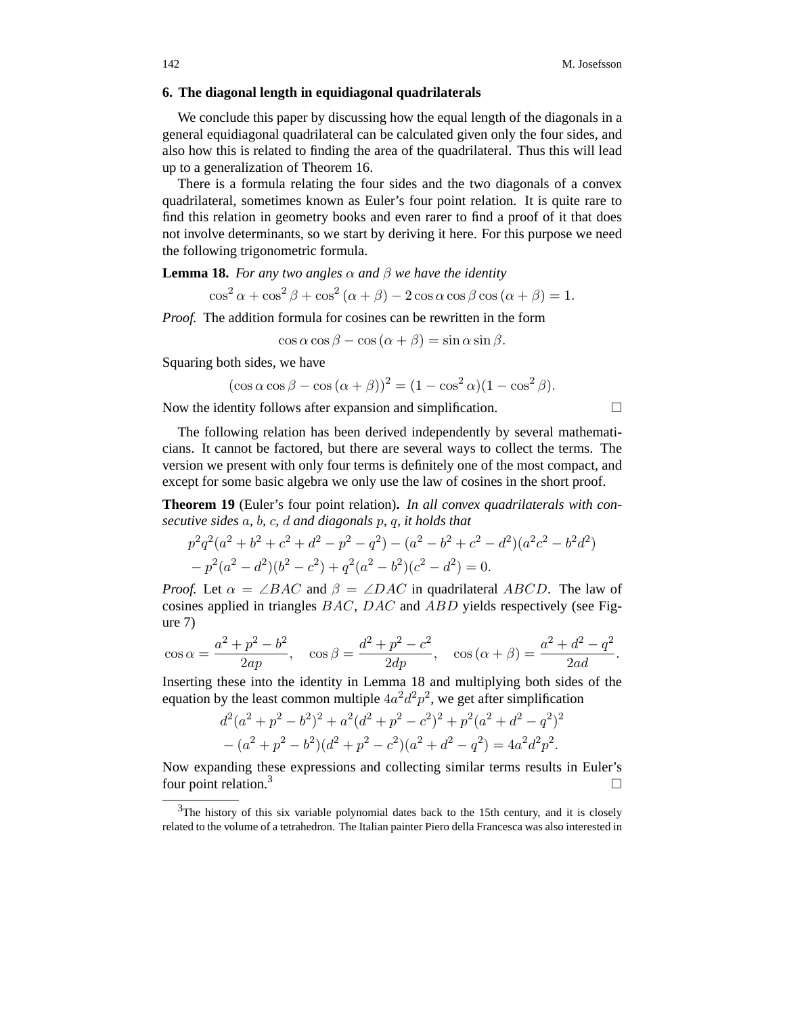## **6. The diagonal length in equidiagonal quadrilaterals**

We conclude this paper by discussing how the equal length of the diagonals in a general equidiagonal quadrilateral can be calculated given only the four sides, and also how this is related to finding the area of the quadrilateral. Thus this will lead up to a generalization of Theorem 16.

There is a formula relating the four sides and the two diagonals of a convex quadrilateral, sometimes known as Euler's four point relation. It is quite rare to find this relation in geometry books and even rarer to find a proof of it that does not involve determinants, so we start by deriving it here. For this purpose we need the following trigonometric formula.

**Lemma 18.** *For any two angles*  $\alpha$  *and*  $\beta$  *we have the identity* 

$$
\cos^{2} \alpha + \cos^{2} \beta + \cos^{2} (\alpha + \beta) - 2 \cos \alpha \cos \beta \cos (\alpha + \beta) = 1.
$$

*Proof.* The addition formula for cosines can be rewritten in the form

 $\cos \alpha \cos \beta - \cos (\alpha + \beta) = \sin \alpha \sin \beta$ .

Squaring both sides, we have

$$
(\cos \alpha \cos \beta - \cos (\alpha + \beta))^2 = (1 - \cos^2 \alpha)(1 - \cos^2 \beta).
$$

Now the identity follows after expansion and simplification.  $\Box$ 

The following relation has been derived independently by several mathematicians. It cannot be factored, but there are several ways to collect the terms. The version we present with only four terms is definitely one of the most compact, and except for some basic algebra we only use the law of cosines in the short proof.

**Theorem 19** (Euler's four point relation)**.** *In all convex quadrilaterals with consecutive sides* a*,* b*,* c*,* d *and diagonals* p*,* q*, it holds that*

$$
p2q2(a2 + b2 + c2 + d2 - p2 - q2) - (a2 – b2 + c2 – d2)(a2c2 – b2d2)
$$
  
- p<sup>2</sup>(a<sup>2</sup> – d<sup>2</sup>)(b<sup>2</sup> – c<sup>2</sup>) + q<sup>2</sup>(a<sup>2</sup> – b<sup>2</sup>)(c<sup>2</sup> – d<sup>2</sup>) = 0.

*Proof.* Let  $\alpha = \angle BAC$  and  $\beta = \angle DAC$  in quadrilateral ABCD. The law of cosines applied in triangles BAC, DAC and ABD yields respectively (see Figure 7)

$$
\cos \alpha = \frac{a^2 + p^2 - b^2}{2ap}, \quad \cos \beta = \frac{d^2 + p^2 - c^2}{2dp}, \quad \cos (\alpha + \beta) = \frac{a^2 + d^2 - q^2}{2ad}.
$$

Inserting these into the identity in Lemma 18 and multiplying both sides of the equation by the least common multiple  $4a^2d^2p^2$ , we get after simplification

$$
d^{2}(a^{2} + p^{2} - b^{2})^{2} + a^{2}(d^{2} + p^{2} - c^{2})^{2} + p^{2}(a^{2} + d^{2} - q^{2})^{2}
$$

$$
- (a^{2} + p^{2} - b^{2})(d^{2} + p^{2} - c^{2})(a^{2} + d^{2} - q^{2}) = 4a^{2}d^{2}p^{2}.
$$

Now expanding these expressions and collecting similar terms results in Euler's four point relation.<sup>3</sup>

<sup>&</sup>lt;sup>3</sup>The history of this six variable polynomial dates back to the 15th century, and it is closely related to the volume of a tetrahedron. The Italian painter Piero della Francesca was also interested in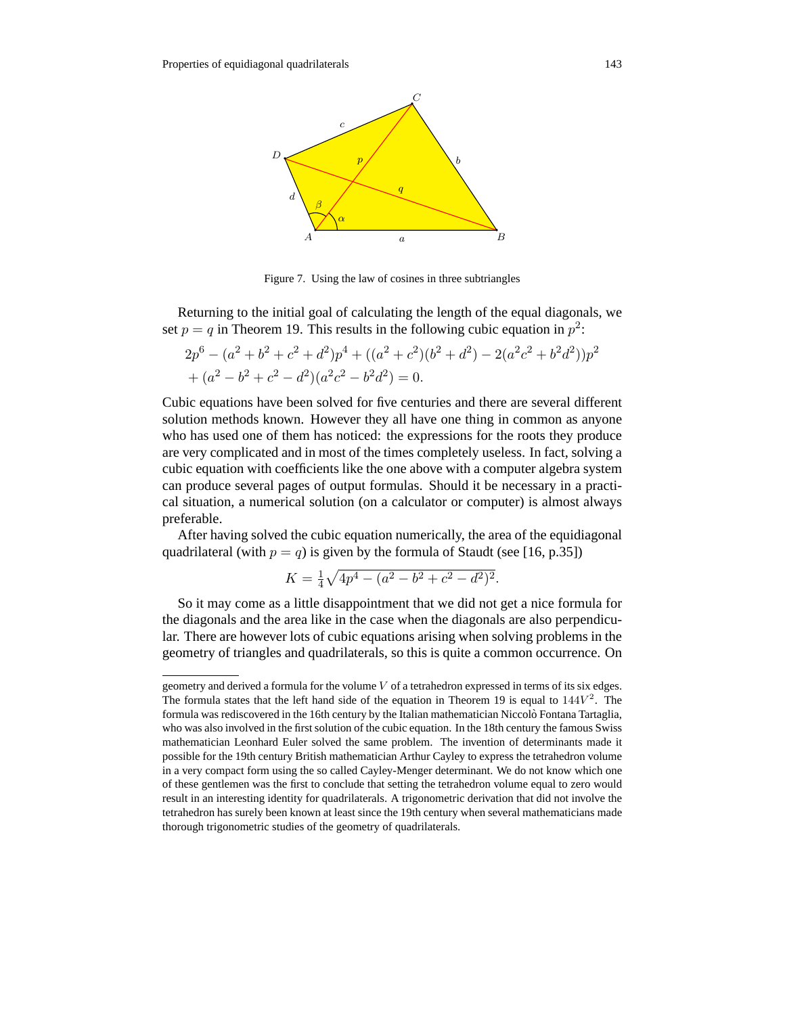

Figure 7. Using the law of cosines in three subtriangles

Returning to the initial goal of calculating the length of the equal diagonals, we set  $p = q$  in Theorem 19. This results in the following cubic equation in  $p^2$ .

$$
2p6 - (a2 + b2 + c2 + d2)p4 + ((a2 + c2)(b2 + d2) - 2(a2c2 + b2d2))p2 + (a2 - b2 + c2 - d2)(a2c2 - b2d2) = 0.
$$

Cubic equations have been solved for five centuries and there are several different solution methods known. However they all have one thing in common as anyone who has used one of them has noticed: the expressions for the roots they produce are very complicated and in most of the times completely useless. In fact, solving a cubic equation with coefficients like the one above with a computer algebra system can produce several pages of output formulas. Should it be necessary in a practical situation, a numerical solution (on a calculator or computer) is almost always preferable.

After having solved the cubic equation numerically, the area of the equidiagonal quadrilateral (with  $p = q$ ) is given by the formula of Staudt (see [16, p.35])

$$
K = \frac{1}{4}\sqrt{4p^4 - (a^2 - b^2 + c^2 - d^2)^2}.
$$

So it may come as a little disappointment that we did not get a nice formula for the diagonals and the area like in the case when the diagonals are also perpendicular. There are however lots of cubic equations arising when solving problems in the geometry of triangles and quadrilaterals, so this is quite a common occurrence. On

geometry and derived a formula for the volume *V* of a tetrahedron expressed in terms of its six edges. The formula states that the left hand side of the equation in Theorem 19 is equal to  $144V<sup>2</sup>$ . The formula was rediscovered in the 16th century by the Italian mathematician Niccolo Fontana Tartaglia, ` who was also involved in the first solution of the cubic equation. In the 18th century the famous Swiss mathematician Leonhard Euler solved the same problem. The invention of determinants made it possible for the 19th century British mathematician Arthur Cayley to express the tetrahedron volume in a very compact form using the so called Cayley-Menger determinant. We do not know which one of these gentlemen was the first to conclude that setting the tetrahedron volume equal to zero would result in an interesting identity for quadrilaterals. A trigonometric derivation that did not involve the tetrahedron has surely been known at least since the 19th century when several mathematicians made thorough trigonometric studies of the geometry of quadrilaterals.